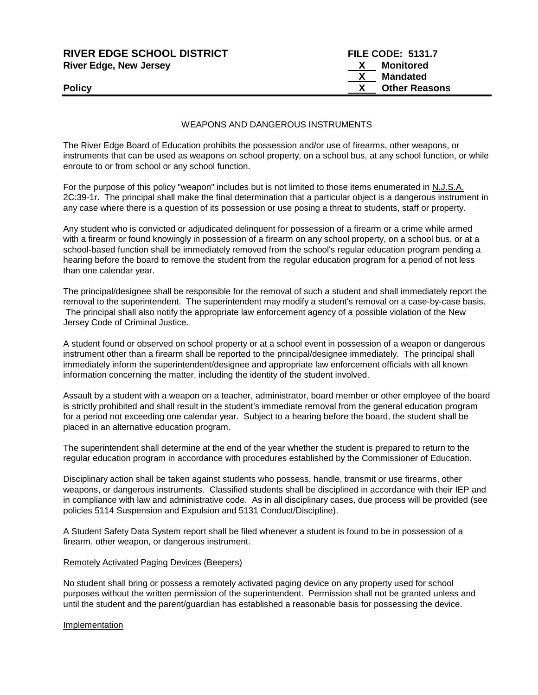| <b>RIVER EDGE SCHOOL DISTRICT</b> | <b>FILE CODE: 5131.7</b> |
|-----------------------------------|--------------------------|
| <b>River Edge, New Jersey</b>     | <b>Monitored</b>         |
|                                   | Mandated                 |
| <b>Policy</b>                     | <b>Other Reasons</b>     |
|                                   |                          |

## WEAPONS AND DANGEROUS INSTRUMENTS

The River Edge Board of Education prohibits the possession and/or use of firearms, other weapons, or instruments that can be used as weapons on school property, on a school bus, at any school function, or while enroute to or from school or any school function.

For the purpose of this policy "weapon" includes but is not limited to those items enumerated in N.J.S.A. 2C:39-1r. The principal shall make the final determination that a particular object is a dangerous instrument in any case where there is a question of its possession or use posing a threat to students, staff or property.

Any student who is convicted or adjudicated delinquent for possession of a firearm or a crime while armed with a firearm or found knowingly in possession of a firearm on any school property, on a school bus, or at a school-based function shall be immediately removed from the school's regular education program pending a hearing before the board to remove the student from the regular education program for a period of not less than one calendar year.

The principal/designee shall be responsible for the removal of such a student and shall immediately report the removal to the superintendent. The superintendent may modify a student's removal on a case-by-case basis. The principal shall also notify the appropriate law enforcement agency of a possible violation of the New Jersey Code of Criminal Justice.

A student found or observed on school property or at a school event in possession of a weapon or dangerous instrument other than a firearm shall be reported to the principal/designee immediately. The principal shall immediately inform the superintendent/designee and appropriate law enforcement officials with all known information concerning the matter, including the identity of the student involved.

Assault by a student with a weapon on a teacher, administrator, board member or other employee of the board is strictly prohibited and shall result in the student's immediate removal from the general education program for a period not exceeding one calendar year. Subject to a hearing before the board, the student shall be placed in an alternative education program.

The superintendent shall determine at the end of the year whether the student is prepared to return to the regular education program in accordance with procedures established by the Commissioner of Education.

Disciplinary action shall be taken against students who possess, handle, transmit or use firearms, other weapons, or dangerous instruments. Classified students shall be disciplined in accordance with their IEP and in compliance with law and administrative code. As in all disciplinary cases, due process will be provided (see policies 5114 Suspension and Expulsion and 5131 Conduct/Discipline).

A Student Safety Data System report shall be filed whenever a student is found to be in possession of a firearm, other weapon, or dangerous instrument.

### Remotely Activated Paging Devices (Beepers)

No student shall bring or possess a remotely activated paging device on any property used for school purposes without the written permission of the superintendent. Permission shall not be granted unless and until the student and the parent/guardian has established a reasonable basis for possessing the device.

### Implementation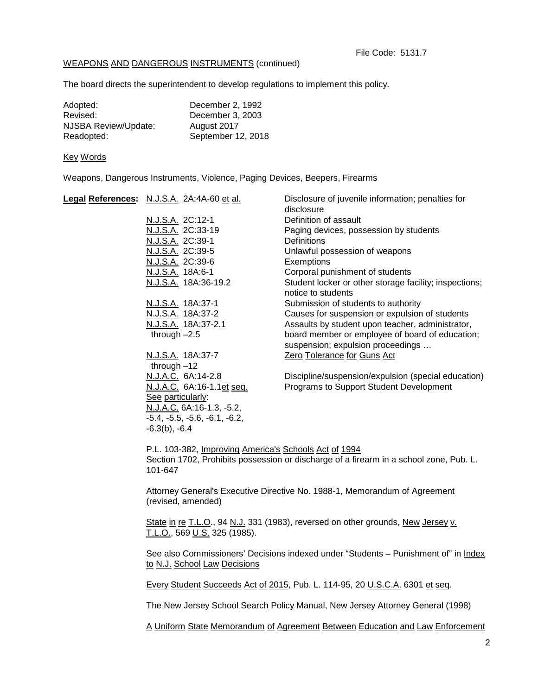# WEAPONS AND DANGEROUS INSTRUMENTS (continued)

The board directs the superintendent to develop regulations to implement this policy.

| Adopted:             | December 2, 1992   |
|----------------------|--------------------|
| Revised:             | December 3, 2003   |
| NJSBA Review/Update: | August 2017        |
| Readopted:           | September 12, 2018 |

#### Key Words

Weapons, Dangerous Instruments, Violence, Paging Devices, Beepers, Firearms

| Legal References: N.J.S.A. 2A:4A-60 et al. | Disclosure of juvenile information; penalties for<br>disclosure              |
|--------------------------------------------|------------------------------------------------------------------------------|
| N.J.S.A. 2C:12-1                           | Definition of assault                                                        |
| N.J.S.A. 2C:33-19                          | Paging devices, possession by students                                       |
|                                            |                                                                              |
| N.J.S.A. 2C:39-1                           | <b>Definitions</b>                                                           |
| N.J.S.A. 2C:39-5                           | Unlawful possession of weapons                                               |
| N.J.S.A. 2C:39-6                           | Exemptions                                                                   |
| N.J.S.A. 18A:6-1                           | Corporal punishment of students                                              |
| N.J.S.A. 18A:36-19.2                       | Student locker or other storage facility; inspections;<br>notice to students |
| N.J.S.A. 18A:37-1                          | Submission of students to authority                                          |
| <u>N.J.S.A.</u> 18A:37-2                   | Causes for suspension or expulsion of students                               |
| N.J.S.A. 18A:37-2.1                        | Assaults by student upon teacher, administrator,                             |
| through $-2.5$                             | board member or employee of board of education;                              |
|                                            | suspension; expulsion proceedings                                            |
| N.J.S.A. 18A:37-7                          | Zero Tolerance for Guns Act                                                  |
| through $-12$                              |                                                                              |
| N.J.A.C. 6A:14-2.8                         | Discipline/suspension/expulsion (special education)                          |
| N.J.A.C. 6A:16-1.1et seq.                  | Programs to Support Student Development                                      |
| See particularly:                          |                                                                              |
| N.J.A.C. 6A:16-1.3, -5.2,                  |                                                                              |
| $-5.4, -5.5, -5.6, -6.1, -6.2,$            |                                                                              |
| $-6.3(b)$ , $-6.4$                         |                                                                              |
|                                            |                                                                              |

P.L. 103-382, Improving America's Schools Act of 1994 Section 1702, Prohibits possession or discharge of a firearm in a school zone, Pub. L. 101-647

Attorney General's Executive Directive No. 1988-1, Memorandum of Agreement (revised, amended)

State in re T.L.O., 94 N.J. 331 (1983), reversed on other grounds, New Jersey v. T.L.O., 569 U.S. 325 (1985).

See also Commissioners' Decisions indexed under "Students - Punishment of" in Index to N.J. School Law Decisions

Every Student Succeeds Act of 2015, Pub. L. 114-95, 20 U.S.C.A. 6301 et seq.

The New Jersey School Search Policy Manual, New Jersey Attorney General (1998)

A Uniform State Memorandum of Agreement Between Education and Law Enforcement